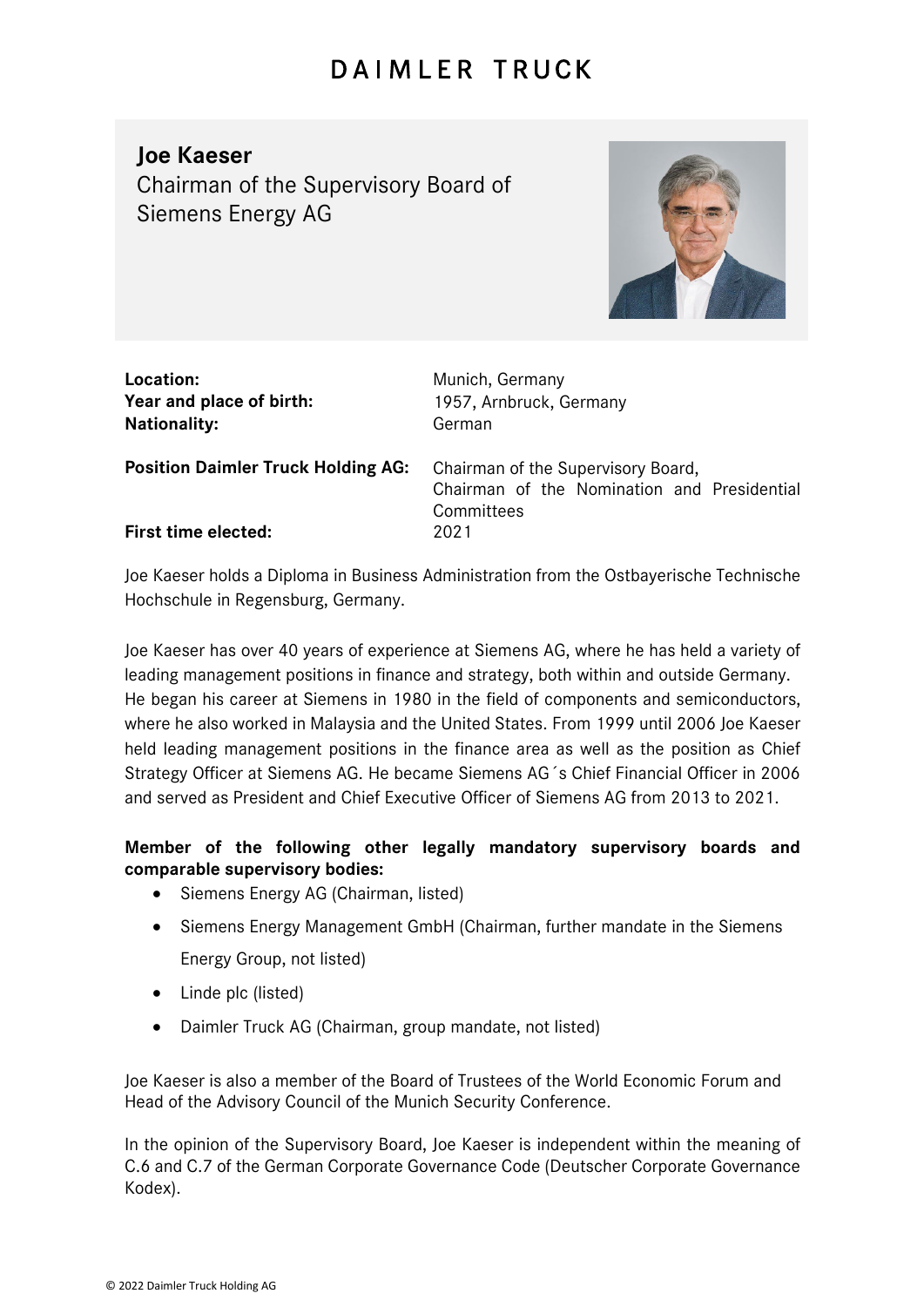## DAIMLER TRUCK

## **Joe Kaeser**

Chairman of the Supervisory Board of Siemens Energy AG



| Location:<br>Year and place of birth:<br><b>Nationality:</b> | Munich, Germany<br>1957, Arnbruck, Germany<br>German                                            |
|--------------------------------------------------------------|-------------------------------------------------------------------------------------------------|
| <b>Position Daimler Truck Holding AG:</b>                    | Chairman of the Supervisory Board,<br>Chairman of the Nomination and Presidential<br>Committees |
| <b>First time elected:</b>                                   | 2021                                                                                            |

Joe Kaeser holds a Diploma in Business Administration from the Ostbayerische Technische Hochschule in Regensburg, Germany.

Joe Kaeser has over 40 years of experience at Siemens AG, where he has held a variety of leading management positions in finance and strategy, both within and outside Germany. He began his career at Siemens in 1980 in the field of components and semiconductors, where he also worked in Malaysia and the United States. From 1999 until 2006 Joe Kaeser held leading management positions in the finance area as well as the position as Chief Strategy Officer at Siemens AG. He became Siemens AG´s Chief Financial Officer in 2006 and served as President and Chief Executive Officer of Siemens AG from 2013 to 2021.

## **Member of the following other legally mandatory supervisory boards and comparable supervisory bodies:**

- Siemens Energy AG (Chairman, listed)
- Siemens Energy Management GmbH (Chairman, further mandate in the Siemens Energy Group, not listed)
- Linde plc (listed)
- Daimler Truck AG (Chairman, group mandate, not listed)

Joe Kaeser is also a member of the Board of Trustees of the World Economic Forum and Head of the Advisory Council of the Munich Security Conference.

In the opinion of the Supervisory Board, Joe Kaeser is independent within the meaning of C.6 and C.7 of the German Corporate Governance Code (Deutscher Corporate Governance Kodex).